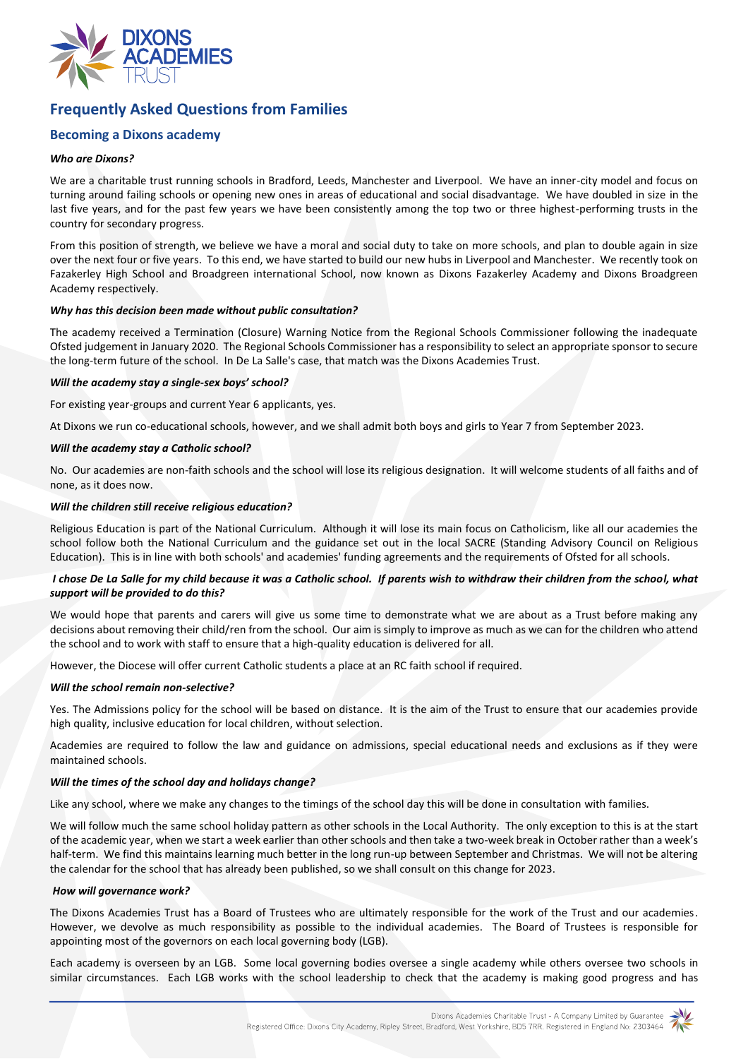

# **Frequently Asked Questions from Families**

# **Becoming a Dixons academy**

# *Who are Dixons?*

We are a charitable trust running schools in Bradford, Leeds, Manchester and Liverpool. We have an inner-city model and focus on turning around failing schools or opening new ones in areas of educational and social disadvantage. We have doubled in size in the last five years, and for the past few years we have been consistently among the top two or three highest-performing trusts in the country for secondary progress.

From this position of strength, we believe we have a moral and social duty to take on more schools, and plan to double again in size over the next four or five years. To this end, we have started to build our new hubs in Liverpool and Manchester. We recently took on Fazakerley High School and Broadgreen international School, now known as Dixons Fazakerley Academy and Dixons Broadgreen Academy respectively.

## *Why has this decision been made without public consultation?*

The academy received a Termination (Closure) Warning Notice from the Regional Schools Commissioner following the inadequate Ofsted judgement in January 2020. The Regional Schools Commissioner has a responsibility to select an appropriate sponsor to secure the long-term future of the school. In De La Salle's case, that match was the Dixons Academies Trust.

## *Will the academy stay a single-sex boys' school?*

For existing year-groups and current Year 6 applicants, yes.

At Dixons we run co-educational schools, however, and we shall admit both boys and girls to Year 7 from September 2023.

#### *Will the academy stay a Catholic school?*

No. Our academies are non-faith schools and the school will lose its religious designation. It will welcome students of all faiths and of none, as it does now.

#### *Will the children still receive religious education?*

Religious Education is part of the National Curriculum. Although it will lose its main focus on Catholicism, like all our academies the school follow both the National Curriculum and the guidance set out in the local SACRE (Standing Advisory Council on Religious Education). This is in line with both schools' and academies' funding agreements and the requirements of Ofsted for all schools.

# *I chose De La Salle for my child because it was a Catholic school. If parents wish to withdraw their children from the school, what support will be provided to do this?*

We would hope that parents and carers will give us some time to demonstrate what we are about as a Trust before making any decisions about removing their child/ren from the school. Our aim is simply to improve as much as we can for the children who attend the school and to work with staff to ensure that a high-quality education is delivered for all.

However, the Diocese will offer current Catholic students a place at an RC faith school if required.

## *Will the school remain non-selective?*

Yes. The Admissions policy for the school will be based on distance. It is the aim of the Trust to ensure that our academies provide high quality, inclusive education for local children, without selection.

Academies are required to follow the law and guidance on admissions, special educational needs and exclusions as if they were maintained schools.

## *Will the times of the school day and holidays change?*

Like any school, where we make any changes to the timings of the school day this will be done in consultation with families.

We will follow much the same school holiday pattern as other schools in the Local Authority. The only exception to this is at the start of the academic year, when we start a week earlier than other schools and then take a two-week break in October rather than a week's half-term. We find this maintains learning much better in the long run-up between September and Christmas. We will not be altering the calendar for the school that has already been published, so we shall consult on this change for 2023.

## *How will governance work?*

The Dixons Academies Trust has a Board of Trustees who are ultimately responsible for the work of the Trust and our academies. However, we devolve as much responsibility as possible to the individual academies. The Board of Trustees is responsible for appointing most of the governors on each local governing body (LGB).

Each academy is overseen by an LGB. Some local governing bodies oversee a single academy while others oversee two schools in similar circumstances. Each LGB works with the school leadership to check that the academy is making good progress and has

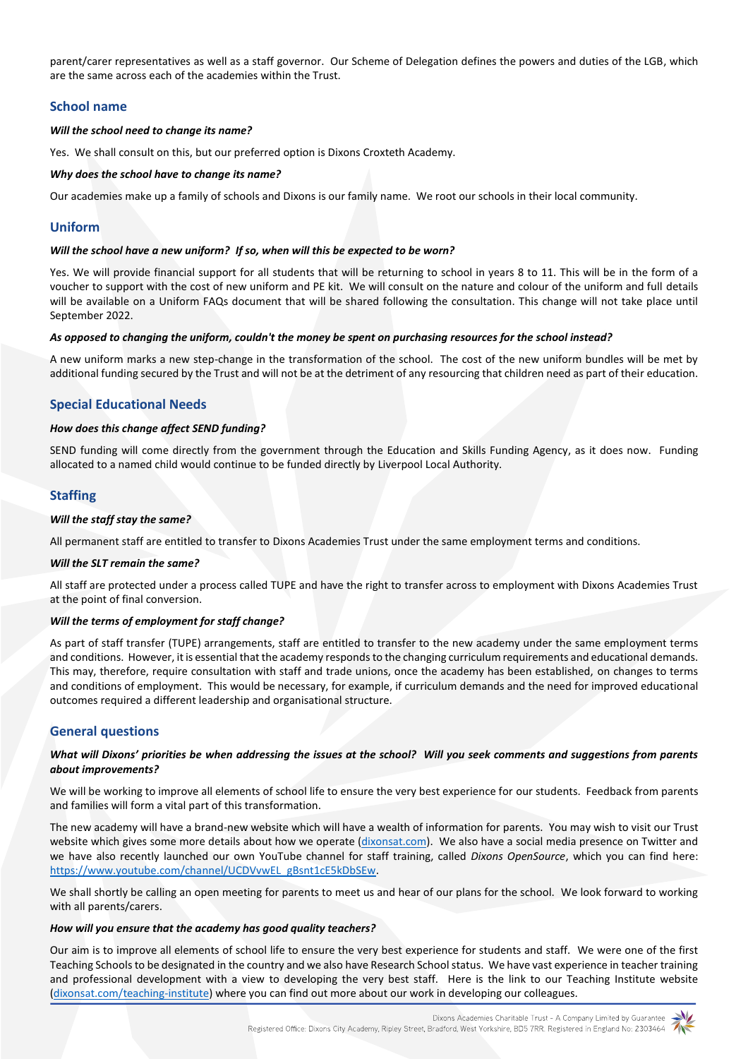parent/carer representatives as well as a staff governor. Our Scheme of Delegation defines the powers and duties of the LGB, which are the same across each of the academies within the Trust.

# **School name**

# *Will the school need to change its name?*

Yes. We shall consult on this, but our preferred option is Dixons Croxteth Academy.

# *Why does the school have to change its name?*

Our academies make up a family of schools and Dixons is our family name. We root our schools in their local community.

# **Uniform**

# *Will the school have a new uniform? If so, when will this be expected to be worn?*

Yes. We will provide financial support for all students that will be returning to school in years 8 to 11. This will be in the form of a voucher to support with the cost of new uniform and PE kit. We will consult on the nature and colour of the uniform and full details will be available on a Uniform FAQs document that will be shared following the consultation. This change will not take place until September 2022.

# *As opposed to changing the uniform, couldn't the money be spent on purchasing resources for the school instead?*

A new uniform marks a new step-change in the transformation of the school. The cost of the new uniform bundles will be met by additional funding secured by the Trust and will not be at the detriment of any resourcing that children need as part of their education.

# **Special Educational Needs**

# *How does this change affect SEND funding?*

SEND funding will come directly from the government through the Education and Skills Funding Agency, as it does now. Funding allocated to a named child would continue to be funded directly by Liverpool Local Authority.

# **Staffing**

# *Will the staff stay the same?*

All permanent staff are entitled to transfer to Dixons Academies Trust under the same employment terms and conditions.

## *Will the SLT remain the same?*

All staff are protected under a process called TUPE and have the right to transfer across to employment with Dixons Academies Trust at the point of final conversion.

## *Will the terms of employment for staff change?*

As part of staff transfer (TUPE) arrangements, staff are entitled to transfer to the new academy under the same employment terms and conditions. However, it is essential that the academy responds to the changing curriculum requirements and educational demands. This may, therefore, require consultation with staff and trade unions, once the academy has been established, on changes to terms and conditions of employment. This would be necessary, for example, if curriculum demands and the need for improved educational outcomes required a different leadership and organisational structure.

# **General questions**

# *What will Dixons' priorities be when addressing the issues at the school? Will you seek comments and suggestions from parents about improvements?*

We will be working to improve all elements of school life to ensure the very best experience for our students. Feedback from parents and families will form a vital part of this transformation.

The new academy will have a brand-new website which will have a wealth of information for parents. You may wish to visit our Trust website which gives some more details about how we operate [\(dixonsat.com\)](https://www.dixonsat.com/). We also have a social media presence on Twitter and we have also recently launched our own YouTube channel for staff training, called *Dixons OpenSource*, which you can find here: [https://www.youtube.com/channel/UCDVvwEL\\_gBsnt1cE5kDbSEw.](https://www.youtube.com/channel/UCDVvwEL_gBsnt1cE5kDbSEw)

We shall shortly be calling an open meeting for parents to meet us and hear of our plans for the school. We look forward to working with all parents/carers.

# *How will you ensure that the academy has good quality teachers?*

Our aim is to improve all elements of school life to ensure the very best experience for students and staff. We were one of the first Teaching Schools to be designated in the country and we also have Research School status. We have vast experience in teacher training and professional development with a view to developing the very best staff. Here is the link to our Teaching Institute website [\(dixonsat.com/teaching-institute\)](https://www.dixonsat.com/teaching-institute) where you can find out more about our work in developing our colleagues.